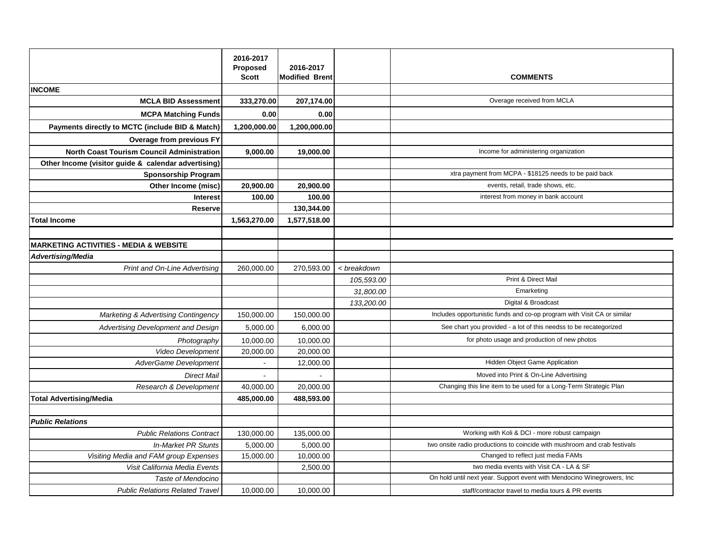|                                                     | 2016-2017<br>Proposed | 2016-2017             |             |                                                                           |
|-----------------------------------------------------|-----------------------|-----------------------|-------------|---------------------------------------------------------------------------|
|                                                     | <b>Scott</b>          | <b>Modified Brent</b> |             | <b>COMMENTS</b>                                                           |
| <b>INCOME</b>                                       |                       |                       |             |                                                                           |
| <b>MCLA BID Assessment</b>                          | 333,270.00            | 207,174.00            |             | Overage received from MCLA                                                |
| <b>MCPA Matching Funds</b>                          | 0.00                  | 0.00                  |             |                                                                           |
| Payments directly to MCTC (include BID & Match)     | 1,200,000.00          | 1,200,000.00          |             |                                                                           |
| <b>Overage from previous FY</b>                     |                       |                       |             |                                                                           |
| <b>North Coast Tourism Council Administration</b>   | 9,000.00              | 19,000.00             |             | Income for administering organization                                     |
| Other Income (visitor guide & calendar advertising) |                       |                       |             |                                                                           |
| <b>Sponsorship Program</b>                          |                       |                       |             | xtra payment from MCPA - \$18125 needs to be paid back                    |
| Other Income (misc)                                 | 20,900.00             | 20,900.00             |             | events, retail, trade shows, etc.                                         |
| <b>Interest</b>                                     | 100.00                | 100.00                |             | interest from money in bank account                                       |
| <b>Reserve</b>                                      |                       | 130,344.00            |             |                                                                           |
| <b>Total Income</b>                                 | 1,563,270.00          | 1,577,518.00          |             |                                                                           |
|                                                     |                       |                       |             |                                                                           |
| <b>MARKETING ACTIVITIES - MEDIA &amp; WEBSITE</b>   |                       |                       |             |                                                                           |
| <b>Advertising/Media</b>                            |                       |                       |             |                                                                           |
| Print and On-Line Advertising                       | 260,000.00            | 270,593.00            | < breakdown |                                                                           |
|                                                     |                       |                       | 105,593.00  | Print & Direct Mail                                                       |
|                                                     |                       |                       | 31,800.00   | Emarketing                                                                |
|                                                     |                       |                       | 133,200.00  | Digital & Broadcast                                                       |
| <b>Marketing &amp; Advertising Contingency</b>      | 150,000.00            | 150,000.00            |             | Includes opportunistic funds and co-op program with Visit CA or similar   |
| Advertising Development and Design                  | 5,000.00              | 6,000.00              |             | See chart you provided - a lot of this needss to be recategorized         |
| Photography                                         | 10,000.00             | 10,000.00             |             | for photo usage and production of new photos                              |
| Video Development                                   | 20,000.00             | 20,000.00             |             |                                                                           |
| AdverGame Development                               | $\bullet$             | 12,000.00             |             | Hidden Object Game Application                                            |
| <b>Direct Mail</b>                                  |                       |                       |             | Moved into Print & On-Line Advertising                                    |
| Research & Development                              | 40,000.00             | 20,000.00             |             | Changing this line item to be used for a Long-Term Strategic Plan         |
| <b>Total Advertising/Media</b>                      | 485,000.00            | 488,593.00            |             |                                                                           |
|                                                     |                       |                       |             |                                                                           |
| <b>Public Relations</b>                             |                       |                       |             |                                                                           |
| <b>Public Relations Contract</b>                    | 130,000.00            | 135,000.00            |             | Working with Koli & DCI - more robust campaign                            |
| <b>In-Market PR Stunts</b>                          | 5,000.00              | 5,000.00              |             | two onsite radio productions to coincide with mushroom and crab festivals |
| Visiting Media and FAM group Expenses               | 15,000.00             | 10,000.00             |             | Changed to reflect just media FAMs                                        |
| Visit California Media Events                       |                       | 2,500.00              |             | two media events with Visit CA - LA & SF                                  |
| Taste of Mendocino                                  |                       |                       |             | On hold until next year. Support event with Mendocino Winegrowers, Inc    |
| <b>Public Relations Related Travel</b>              | 10,000.00             | 10,000.00             |             | staff/contractor travel to media tours & PR events                        |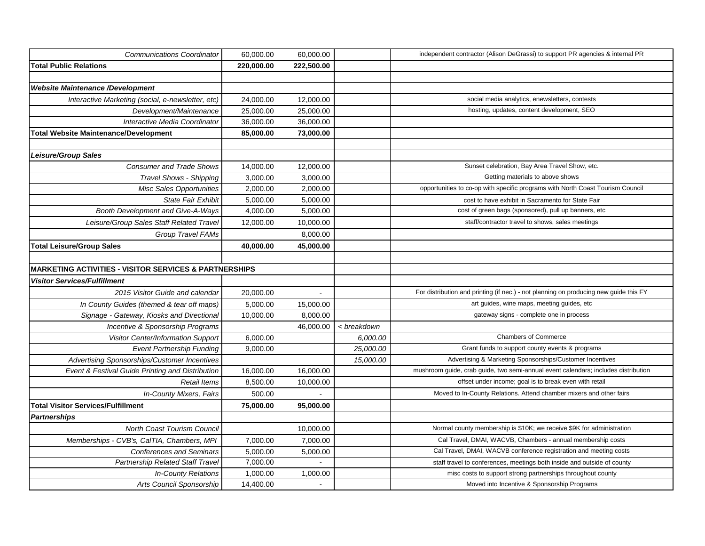| <b>Communications Coordinator</b>                                 | 60,000.00  | 60,000.00      |             | independent contractor (Alison DeGrassi) to support PR agencies & internal PR         |
|-------------------------------------------------------------------|------------|----------------|-------------|---------------------------------------------------------------------------------------|
| <b>Total Public Relations</b>                                     | 220,000.00 | 222,500.00     |             |                                                                                       |
|                                                                   |            |                |             |                                                                                       |
| <b>Website Maintenance /Development</b>                           |            |                |             |                                                                                       |
| Interactive Marketing (social, e-newsletter, etc)                 | 24,000.00  | 12,000.00      |             | social media analytics, enewsletters, contests                                        |
| Development/Maintenance                                           | 25,000.00  | 25,000.00      |             | hosting, updates, content development, SEO                                            |
| Interactive Media Coordinator                                     | 36,000.00  | 36,000.00      |             |                                                                                       |
| <b>Total Website Maintenance/Development</b>                      | 85,000.00  | 73,000.00      |             |                                                                                       |
|                                                                   |            |                |             |                                                                                       |
| <b>Leisure/Group Sales</b>                                        |            |                |             |                                                                                       |
| <b>Consumer and Trade Shows</b>                                   | 14,000.00  | 12,000.00      |             | Sunset celebration, Bay Area Travel Show, etc.                                        |
| Travel Shows - Shipping                                           | 3,000.00   | 3,000.00       |             | Getting materials to above shows                                                      |
| <b>Misc Sales Opportunities</b>                                   | 2,000.00   | 2,000.00       |             | opportunities to co-op with specific programs with North Coast Tourism Council        |
| State Fair Exhibit                                                | 5,000.00   | 5,000.00       |             | cost to have exhibit in Sacramento for State Fair                                     |
| Booth Development and Give-A-Ways                                 | 4,000.00   | 5,000.00       |             | cost of green bags (sponsored), pull up banners, etc                                  |
| Leisure/Group Sales Staff Related Travel                          | 12,000.00  | 10,000.00      |             | staff/contractor travel to shows, sales meetings                                      |
| Group Travel FAMs                                                 |            | 8,000.00       |             |                                                                                       |
| <b>Total Leisure/Group Sales</b>                                  | 40,000.00  | 45,000.00      |             |                                                                                       |
|                                                                   |            |                |             |                                                                                       |
| <b>MARKETING ACTIVITIES - VISITOR SERVICES &amp; PARTNERSHIPS</b> |            |                |             |                                                                                       |
| <b>Visitor Services/Fulfillment</b>                               |            |                |             |                                                                                       |
| 2015 Visitor Guide and calendar                                   | 20,000.00  | $\blacksquare$ |             | For distribution and printing (if nec.) - not planning on producing new guide this FY |
| In County Guides (themed & tear off maps)                         | 5,000.00   | 15,000.00      |             | art guides, wine maps, meeting guides, etc                                            |
| Signage - Gateway, Kiosks and Directional                         | 10,000.00  | 8,000.00       |             | gateway signs - complete one in process                                               |
| Incentive & Sponsorship Programs                                  |            | 46,000.00      | < breakdown |                                                                                       |
| Visitor Center/Information Support                                | 6,000.00   |                | 6,000.00    | Chambers of Commerce                                                                  |
| <b>Event Partnership Funding</b>                                  | 9,000.00   |                | 25,000.00   | Grant funds to support county events & programs                                       |
| Advertising Sponsorships/Customer Incentives                      |            |                | 15,000.00   | Advertising & Marketing Sponsorships/Customer Incentives                              |
| Event & Festival Guide Printing and Distribution                  | 16,000.00  | 16,000.00      |             | mushroom guide, crab guide, two semi-annual event calendars; includes distribution    |
| <b>Retail Items</b>                                               | 8,500.00   | 10,000.00      |             | offset under income; goal is to break even with retail                                |
| In-County Mixers, Fairs                                           | 500.00     |                |             | Moved to In-County Relations. Attend chamber mixers and other fairs                   |
| <b>Total Visitor Services/Fulfillment</b>                         | 75,000.00  | 95,000.00      |             |                                                                                       |
| <b>Partnerships</b>                                               |            |                |             |                                                                                       |
| North Coast Tourism Council                                       |            | 10,000.00      |             | Normal county membership is \$10K; we receive \$9K for administration                 |
| Memberships - CVB's, CalTIA, Chambers, MPI                        | 7,000.00   | 7,000.00       |             | Cal Travel, DMAI, WACVB, Chambers - annual membership costs                           |
| <b>Conferences and Seminars</b>                                   | 5,000.00   | 5,000.00       |             | Cal Travel, DMAI, WACVB conference registration and meeting costs                     |
| Partnership Related Staff Travel                                  | 7,000.00   | $\sim$         |             | staff travel to conferences, meetings both inside and outside of county               |
| <b>In-County Relations</b>                                        | 1,000.00   | 1,000.00       |             | misc costs to support strong partnerships throughout county                           |
| Arts Council Sponsorship                                          | 14,400.00  | $\sim$         |             | Moved into Incentive & Sponsorship Programs                                           |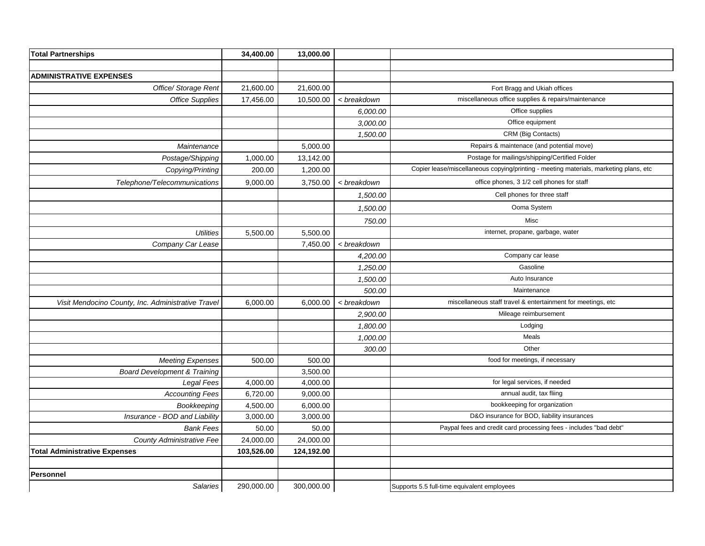| <b>Total Partnerships</b>                          | 34,400.00  | 13,000.00  |             |                                                                                       |
|----------------------------------------------------|------------|------------|-------------|---------------------------------------------------------------------------------------|
|                                                    |            |            |             |                                                                                       |
| <b>ADMINISTRATIVE EXPENSES</b>                     |            |            |             |                                                                                       |
| Office/ Storage Rent                               | 21,600.00  | 21,600.00  |             | Fort Bragg and Ukiah offices                                                          |
| <b>Office Supplies</b>                             | 17,456.00  | 10,500.00  | < breakdown | miscellaneous office supplies & repairs/maintenance                                   |
|                                                    |            |            | 6,000.00    | Office supplies                                                                       |
|                                                    |            |            | 3,000.00    | Office equipment                                                                      |
|                                                    |            |            | 1,500.00    | CRM (Big Contacts)                                                                    |
| Maintenance                                        |            | 5,000.00   |             | Repairs & maintenace (and potential move)                                             |
| Postage/Shipping                                   | 1,000.00   | 13,142.00  |             | Postage for mailings/shipping/Certified Folder                                        |
| Copying/Printing                                   | 200.00     | 1,200.00   |             | Copier lease/miscellaneous copying/printing - meeting materials, marketing plans, etc |
| Telephone/Telecommunications                       | 9,000.00   | 3,750.00   | < breakdown | office phones, 3 1/2 cell phones for staff                                            |
|                                                    |            |            | 1,500.00    | Cell phones for three staff                                                           |
|                                                    |            |            | 1,500.00    | Ooma System                                                                           |
|                                                    |            |            | 750.00      | Misc                                                                                  |
| <b>Utilities</b>                                   | 5,500.00   | 5,500.00   |             | internet, propane, garbage, water                                                     |
| Company Car Lease                                  |            | 7,450.00   | < breakdown |                                                                                       |
|                                                    |            |            | 4,200.00    | Company car lease                                                                     |
|                                                    |            |            | 1,250.00    | Gasoline                                                                              |
|                                                    |            |            | 1,500.00    | Auto Insurance                                                                        |
|                                                    |            |            | 500.00      | Maintenance                                                                           |
| Visit Mendocino County, Inc. Administrative Travel | 6,000.00   | 6,000.00   | < breakdown | miscellaneous staff travel & entertainment for meetings, etc                          |
|                                                    |            |            | 2,900.00    | Mileage reimbursement                                                                 |
|                                                    |            |            | 1,800.00    | Lodging                                                                               |
|                                                    |            |            | 1,000.00    | Meals                                                                                 |
|                                                    |            |            | 300.00      | Other                                                                                 |
| <b>Meeting Expenses</b>                            | 500.00     | 500.00     |             | food for meetings, if necessary                                                       |
| <b>Board Development &amp; Training</b>            |            | 3,500.00   |             |                                                                                       |
| Legal Fees                                         | 4,000.00   | 4,000.00   |             | for legal services, if needed                                                         |
| <b>Accounting Fees</b>                             | 6,720.00   | 9,000.00   |             | annual audit, tax fliing                                                              |
| Bookkeeping                                        | 4,500.00   | 6,000.00   |             | bookkeeping for organization                                                          |
| Insurance - BOD and Liability                      | 3,000.00   | 3,000.00   |             | D&O insurance for BOD, liability insurances                                           |
| <b>Bank Fees</b>                                   | 50.00      | 50.00      |             | Paypal fees and credit card processing fees - includes "bad debt"                     |
| <b>County Administrative Fee</b>                   | 24,000.00  | 24,000.00  |             |                                                                                       |
| <b>Total Administrative Expenses</b>               | 103,526.00 | 124,192.00 |             |                                                                                       |
|                                                    |            |            |             |                                                                                       |
| Personnel                                          |            |            |             |                                                                                       |
| <b>Salaries</b>                                    | 290,000.00 | 300,000.00 |             | Supports 5.5 full-time equivalent employees                                           |